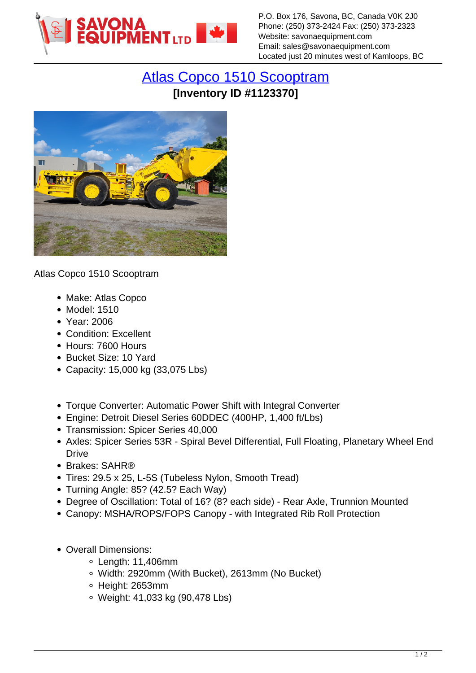

P.O. Box 176, Savona, BC, Canada V0K 2J0 Phone: (250) 373-2424 Fax: (250) 373-2323 Website: savonaequipment.com Email: sales@savonaequipment.com Located just 20 minutes west of Kamloops, BC

## [Atlas Copco 1510 Scooptram](https://www.savonaequipment.com/en/atlas-copco-1510-scooptram-p1123370) **[Inventory ID #1123370]**



Atlas Copco 1510 Scooptram

- Make: Atlas Copco
- Model: 1510
- Year: 2006
- Condition: Excellent
- Hours: 7600 Hours
- Bucket Size: 10 Yard
- Capacity: 15,000 kg (33,075 Lbs)
- Torque Converter: Automatic Power Shift with Integral Converter
- Engine: Detroit Diesel Series 60DDEC (400HP, 1,400 ft/Lbs)
- Transmission: Spicer Series 40,000
- Axles: Spicer Series 53R Spiral Bevel Differential, Full Floating, Planetary Wheel End Drive
- Brakes: SAHR<sup>®</sup>
- Tires: 29.5 x 25, L-5S (Tubeless Nylon, Smooth Tread)
- Turning Angle: 85? (42.5? Each Way)
- Degree of Oscillation: Total of 16? (8? each side) Rear Axle, Trunnion Mounted
- Canopy: MSHA/ROPS/FOPS Canopy with Integrated Rib Roll Protection
- Overall Dimensions:
	- $\circ$  Length: 11,406mm
	- Width: 2920mm (With Bucket), 2613mm (No Bucket)
	- Height: 2653mm
	- Weight: 41,033 kg (90,478 Lbs)